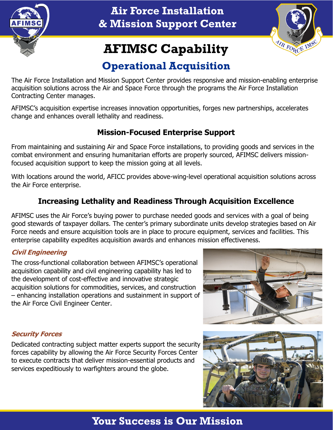

**Air Force Installation & Mission Support Center**



# **AFIMSC Capability**

## **Operational Acquisition**

The Air Force Installation and Mission Support Center provides responsive and mission-enabling enterprise acquisition solutions across the Air and Space Force through the programs the Air Force Installation Contracting Center manages.

AFIMSC's acquisition expertise increases innovation opportunities, forges new partnerships, accelerates change and enhances overall lethality and readiness.

## **Mission-Focused Enterprise Support**

From maintaining and sustaining Air and Space Force installations, to providing goods and services in the combat environment and ensuring humanitarian efforts are properly sourced, AFIMSC delivers missionfocused acquisition support to keep the mission going at all levels.

With locations around the world, AFICC provides above-wing-level operational acquisition solutions across the Air Force enterprise.

## **Increasing Lethality and Readiness Through Acquisition Excellence**

AFIMSC uses the Air Force's buying power to purchase needed goods and services with a goal of being good stewards of taxpayer dollars. The center's primary subordinate units develop strategies based on Air Force needs and ensure acquisition tools are in place to procure equipment, services and facilities. This enterprise capability expedites acquisition awards and enhances mission effectiveness.

#### **Civil Engineering**

The cross-functional collaboration between AFIMSC's operational acquisition capability and civil engineering capability has led to the development of cost-effective and innovative strategic acquisition solutions for commodities, services, and construction – enhancing installation operations and sustainment in support of the Air Force Civil Engineer Center.



#### **Security Forces**

Dedicated contracting subject matter experts support the security forces capability by allowing the Air Force Security Forces Center to execute contracts that deliver mission-essential products and services expeditiously to warfighters around the globe.



## **Your Success is Our Mission**